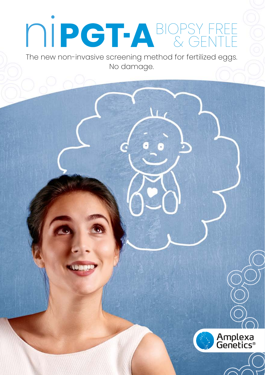# BIOPSY FREE & GENTLE

The new non-invasive screening method for fertilized eggs. No damage.

**A** 

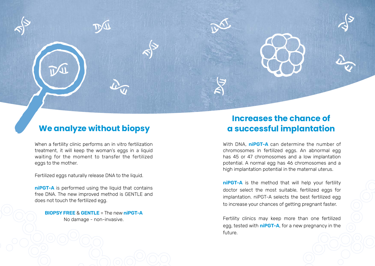

When a fertility clinic performs an in vitro fertilization treatment, it will keep the woman's eggs in a liquid waiting for the moment to transfer the fertilized eggs to the mother.

Fertilized eggs naturally release DNA to the liquid.

**niPGT-A** is performed using the liquid that contains free DNA. The new improved method is GENTLE and does not touch the fertilized egg.

**BIOPSY FREE** & **GENTLE** = The new **niPGT-A** No damage - non-invasive.

## **Increases the chance of We analyze without biopsy a successful implantation**

With DNA, **niPGT-A** can determine the number of chromosomes in fertilized eggs. An abnormal egg has 45 or 47 chromosomes and a low implantation potential. A normal egg has 46 chromosomes and a high implantation potential in the maternal uterus.

**niPGT-A** is the method that will help your fertility doctor select the most suitable, fertilized eggs for implantation. niPGT-A selects the best fertilized egg to increase your chances of getting pregnant faster.

Fertility clinics may keep more than one fertilized egg, tested with **niPGT-A**, for a new pregnancy in the future.